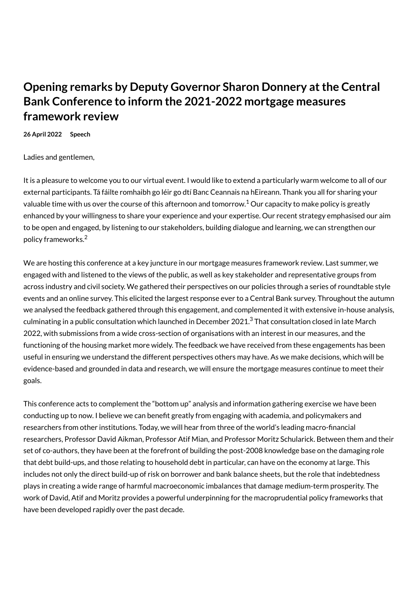## **Opening remarks by Deputy Governor Sharon Donnery at the Central Bank Conference to inform the 2021-2022 mortgage measures framework review**

**26 April 2022 Speech**

Ladies and gentlemen,

It is a pleasure to welcome you to our virtual event. I would like to extend a particularly warm welcome to all of our external participants. Tá fáilte romhaibh go léir go dtí Banc Ceannais na hEireann. Thank you all for sharing your valuable time with us over the course of this afternoon and tomorrow.<sup>1</sup> Our capacity to make policy is greatly enhanced by your willingness to share your experience and your expertise. Our recent strategy emphasised our aim to be open and engaged, by listening to our stakeholders, building dialogue and learning, we can strengthen our policy frameworks.<sup>2</sup>

We are hosting this conference at a key juncture in our mortgage measures framework review. Last summer, we engaged with and listened to the views of the public, as well as key stakeholder and representative groups from across industry and civil society. We gathered their perspectives on our policies through a series of roundtable style events and an online survey. This elicited the largest response ever to a Central Bank survey. Throughout the autumn we analysed the feedback gathered through this engagement, and complemented it with extensive in-house analysis, culminating in a public consultation which launched in December 2021.<sup>3</sup> That consultation closed in late March 2022, with submissions from a wide cross-section of organisations with an interest in our measures, and the functioning of the housing market more widely. The feedback we have received from these engagements has been useful in ensuring we understand the different perspectives others may have. As we make decisions, which will be evidence-based and grounded in data and research, we will ensure the mortgage measures continue to meet their goals.

This conference acts to complement the "bottom up" analysis and information gathering exercise we have been conducting up to now. I believe we can benefit greatly from engaging with academia, and policymakers and researchers from other institutions. Today, we will hear from three of the world's leading macro-financial researchers, Professor David Aikman, Professor Atif Mian, and Professor Moritz Schularick. Between them and their set of co-authors, they have been at the forefront of building the post-2008 knowledge base on the damaging role that debt build-ups, and those relating to household debt in particular, can have on the economy at large. This includes not only the direct build-up of risk on borrower and bank balance sheets, but the role that indebtedness plays in creating a wide range of harmful macroeconomic imbalances that damage medium-term prosperity. The work of David, Atif and Moritz provides a powerful underpinning for the macroprudential policy frameworks that have been developed rapidly over the past decade.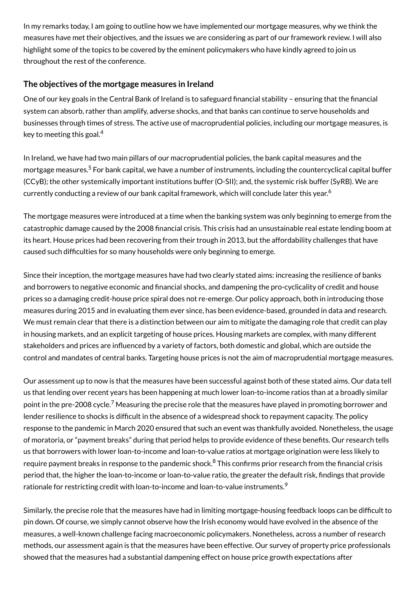In my remarks today, I am going to outline how we have implemented our mortgage measures, why we think the measures have met their objectives, and the issues we are considering as part of our framework review. I will also highlight some of the topics to be covered by the eminent policymakers who have kindly agreed to join us throughout the rest of the conference.

## **The objectives ofthe mortgage measures in Ireland**

One of our key goals in the Central Bank of Ireland is to safeguard financial stability – ensuring that the financial system can absorb, rather than amplify, adverse shocks, and that banks can continue to serve households and businesses through times of stress. The active use of macroprudential policies, including our mortgage measures, is key to meeting this goal. $^4$ 

In Ireland, we have had two main pillars of our macroprudential policies, the bank capital measures and the mortgage measures.<sup>5</sup> For bank capital, we have a number of instruments, including the countercyclical capital buffer (CCyB); the other systemically important institutions buffer (O-SII); and, the systemic risk buffer (SyRB). We are currently conducting a review of our bank capital framework, which will conclude later this year. $^6\,$ 

The mortgage measures were introduced at a time when the banking system was only beginning to emerge from the catastrophic damage caused by the 2008 financial crisis. This crisis had an unsustainable real estate lending boom at its heart. House prices had been recovering from their trough in 2013, but the affordability challenges that have caused such difficulties for so many households were only beginning to emerge.

Since their inception, the mortgage measures have had two clearly stated aims: increasing the resilience of banks and borrowers to negative economic and financial shocks, and dampening the pro-cyclicality of credit and house prices so a damaging credit-house price spiral does not re-emerge. Our policy approach, both in introducing those measures during 2015 and in evaluating them ever since, has been evidence-based, grounded in data and research. We must remain clear that there is a distinction between our aim to mitigate the damaging role that credit can play in housing markets, and an explicit targeting of house prices. Housing markets are complex, with many different stakeholders and prices are influenced by a variety of factors, both domestic and global, which are outside the control and mandates of central banks. Targeting house prices is not the aim of macroprudential mortgage measures.

Our assessment up to now is that the measures have been successful against both of these stated aims. Our data tell us that lending over recent years has been happening at much lower loan-to-income ratios than at a broadly similar point in the pre-2008 cycle.<sup>7</sup> Measuring the precise role that the measures have played in promoting borrower and lender resilience to shocks is difficult in the absence of a widespread shock to repayment capacity. The policy response to the pandemic in March 2020 ensured that such an event was thankfully avoided. Nonetheless, the usage of moratoria, or "payment breaks" during that period helps to provide evidence of these benefits. Our research tells us that borrowers with lower loan-to-income and loan-to-value ratios at mortgage origination were less likely to require payment breaks in response to the pandemic shock.<sup>8</sup> This confirms prior research from the financial crisis period that, the higher the loan-to-income or loan-to-value ratio, the greater the default risk, findings that provide rationale for restricting credit with loan-to-income and loan-to-value instruments. $^9$ 

Similarly, the precise role that the measures have had in limiting mortgage-housing feedback loops can be difficult to pin down. Of course, we simply cannot observe how the Irish economy would have evolved in the absence of the measures, a well-known challenge facing macroeconomic policymakers. Nonetheless, across a number of research methods, our assessment again is that the measures have been effective. Our survey of property price professionals showed that the measures had a substantial dampening effect on house price growth expectations after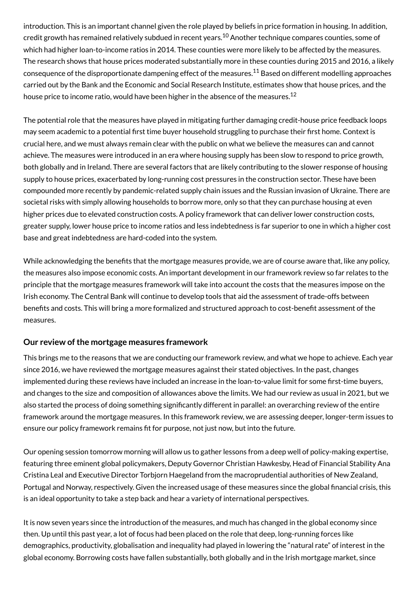introduction. This is an important channel given the role played by beliefs in price formation in housing. In addition, credit growth has remained relatively subdued in recent years.<sup>10</sup> Another technique compares counties, some of which had higher loan-to-income ratios in 2014. These counties were more likely to be affected by the measures. The research shows that house prices moderated substantially more in these counties during 2015 and 2016, a likely consequence of the disproportionate dampening effect of the measures. $^{\rm 11}$  Based on different modelling approaches carried out by the Bank and the Economic and Social Research Institute, estimates show that house prices, and the house price to income ratio, would have been higher in the absence of the measures. $^{\rm 12}$ 

The potential role that the measures have played in mitigating further damaging credit-house price feedback loops may seem academic to a potential first time buyer household struggling to purchase their first home. Context is crucial here, and we must always remain clear with the public on what we believe the measures can and cannot achieve. The measures were introduced in an era where housing supply has been slow to respond to price growth, both globally and in Ireland. There are several factors that are likely contributing to the slower response of housing supply to house prices, exacerbated by long-running cost pressures in the construction sector. These have been compounded more recently by pandemic-related supply chain issues and the Russian invasion of Ukraine. There are societal risks with simply allowing households to borrow more, only so that they can purchase housing at even higher prices due to elevated construction costs. A policy framework that can deliver lower construction costs, greater supply, lower house price to income ratios and less indebtedness is far superior to one in which a higher cost base and great indebtedness are hard-coded into the system.

While acknowledging the benefits that the mortgage measures provide, we are of course aware that, like any policy, the measures also impose economic costs. An important development in our framework review so far relates to the principle that the mortgage measures framework will take into account the costs that the measures impose on the Irish economy. The Central Bank will continue to develop tools that aid the assessment of trade-offs between benefits and costs. This will bring a more formalized and structured approach to cost-benefit assessment of the measures.

## **Our review ofthe mortgage measures framework**

This brings me to the reasons that we are conducting our framework review, and what we hope to achieve. Each year since 2016, we have reviewed the mortgage measures against their stated objectives. In the past, changes implemented during these reviews have included an increase in the loan-to-value limit for some first-time buyers, and changes to the size and composition of allowances above the limits. We had our review as usual in 2021, but we also started the process of doing something significantly different in parallel: an overarching review of the entire framework around the mortgage measures. In this framework review, we are assessing deeper, longer-term issues to ensure our policy framework remains fit for purpose, not just now, but into the future.

Our opening session tomorrow morning will allow us to gather lessons from a deep well of policy-making expertise, featuring three eminent global policymakers, Deputy Governor Christian Hawkesby, Head of Financial Stability Ana Cristina Leal and Executive Director Torbjorn Haegeland from the macroprudential authorities of New Zealand, Portugal and Norway, respectively. Given the increased usage of these measures since the global financial crisis, this is an ideal opportunity to take a step back and hear a variety of international perspectives.

It is now seven years since the introduction of the measures, and much has changed in the global economy since then. Up until this past year, a lot of focus had been placed on the role that deep, long-running forces like demographics, productivity, globalisation and inequality had played in lowering the "natural rate" of interest in the global economy. Borrowing costs have fallen substantially, both globally and in the Irish mortgage market, since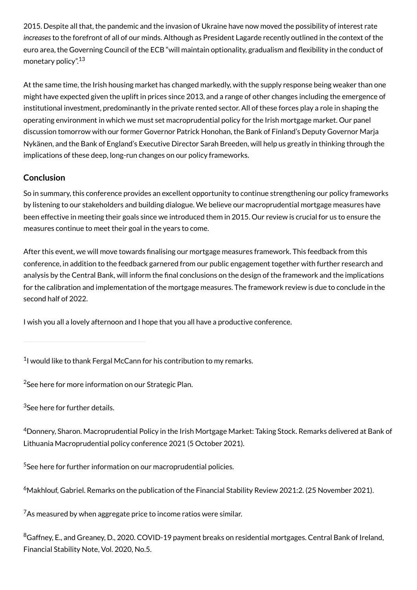2015. Despite all that, the pandemic and the invasion of Ukraine have now moved the possibility of interest rate *increases* to the forefront of all of our minds. Although as President Lagarde recently outlined in the context of the euro area, the Governing Council of the ECB "will maintain optionality, gradualism and flexibility in the conduct of monetary policy". 13

At the same time, the Irish housing market has changed markedly, with the supply response being weaker than one might have expected given the uplift in prices since 2013, and a range of other changes including the emergence of institutional investment, predominantly in the private rented sector. All of these forces play a role in shaping the operating environment in which we must set macroprudential policy for the Irish mortgage market. Our panel discussion tomorrow with our former Governor Patrick Honohan, the Bank of Finland's Deputy Governor Marja Nykänen, and the Bank of England's Executive Director Sarah Breeden, will help us greatly in thinking through the implications of these deep, long-run changes on our policy frameworks.

## **Conclusion**

So in summary, this conference provides an excellent opportunity to continue strengthening our policy frameworks by listening to our stakeholders and building dialogue. We believe our macroprudential mortgage measures have been effective in meeting their goals since we introduced them in 2015. Our review is crucial for us to ensure the measures continue to meet their goal in the years to come.

After this event, we will move towards finalising our mortgage measures framework. This feedback from this conference, in addition to the feedback garnered from our public engagement together with further research and analysis by the Central Bank, will inform the final conclusions on the design of the framework and the implications for the calibration and implementation of the mortgage measures. The framework review is due to conclude in the second half of 2022.

I wish you all a lovely afternoon and I hope that you all have a productive conference.

 $1$ I would like to thank Fergal McCann for his contribution to my remarks.

 $^{2}$ See [here](https://www.centralbank.ie/publication/corporate-reports/strategic-plan) for more information on our Strategic Plan.

 $3$ See [here](https://www.centralbank.ie/financial-system/financial-stability/macro-prudential-policy/mortgage-measures/mortgage-measures-framework-review-public-engagement) for further details.

 $^4$ Donnery, Sharon. [Macroprudential Policy in the Irish Mortgage Market: Taking Stock](https://www.centralbank.ie/news/article/speech-macroprudential-policy-taking-stock-deputy-governor-sharon-donnery-5-october-2021). Remarks delivered at Bank of Lithuania Macroprudential policy conference 2021 (5 October 2021).

 $5$ See [here](https://www.centralbank.ie/financial-system/financial-stability/macro-prudential-policy) for further information on our macroprudential policies.

 $^6$ Makhlouf, Gabriel. [Remarks on the publication of the Financial Stability Review 2021:2](https://www.centralbank.ie/news/article/speech-governor-makhlouf-fsr-2021-2-25-nov-2021). (25 November 2021).

 $7$ As measured by when aggregate price to income ratios were similar.

 $^8$ Gaffney, E., and Greaney, D., 2020. COVID-19 payment breaks on residential mortgages. Central Bank of Ireland, Financial Stability Note, Vol. 2020, No.5.